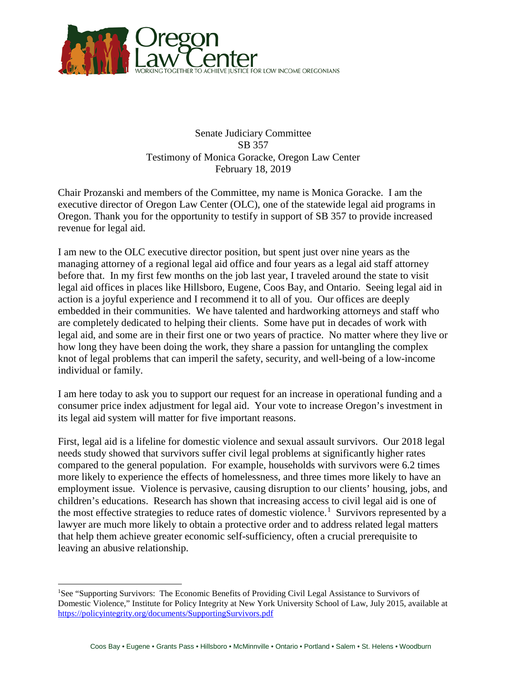

Senate Judiciary Committee SB 357 Testimony of Monica Goracke, Oregon Law Center February 18, 2019

Chair Prozanski and members of the Committee, my name is Monica Goracke. I am the executive director of Oregon Law Center (OLC), one of the statewide legal aid programs in Oregon. Thank you for the opportunity to testify in support of SB 357 to provide increased revenue for legal aid.

I am new to the OLC executive director position, but spent just over nine years as the managing attorney of a regional legal aid office and four years as a legal aid staff attorney before that. In my first few months on the job last year, I traveled around the state to visit legal aid offices in places like Hillsboro, Eugene, Coos Bay, and Ontario. Seeing legal aid in action is a joyful experience and I recommend it to all of you. Our offices are deeply embedded in their communities. We have talented and hardworking attorneys and staff who are completely dedicated to helping their clients. Some have put in decades of work with legal aid, and some are in their first one or two years of practice. No matter where they live or how long they have been doing the work, they share a passion for untangling the complex knot of legal problems that can imperil the safety, security, and well-being of a low-income individual or family.

I am here today to ask you to support our request for an increase in operational funding and a consumer price index adjustment for legal aid. Your vote to increase Oregon's investment in its legal aid system will matter for five important reasons.

First, legal aid is a lifeline for domestic violence and sexual assault survivors. Our 2018 legal needs study showed that survivors suffer civil legal problems at significantly higher rates compared to the general population. For example, households with survivors were 6.2 times more likely to experience the effects of homelessness, and three times more likely to have an employment issue. Violence is pervasive, causing disruption to our clients' housing, jobs, and children's educations. Research has shown that increasing access to civil legal aid is one of the most effective strategies to reduce rates of domestic violence.<sup>[1](#page-0-0)</sup> Survivors represented by a lawyer are much more likely to obtain a protective order and to address related legal matters that help them achieve greater economic self-sufficiency, often a crucial prerequisite to leaving an abusive relationship.

<span id="page-0-0"></span>1 <sup>1</sup>See "Supporting Survivors: The Economic Benefits of Providing Civil Legal Assistance to Survivors of Domestic Violence," Institute for Policy Integrity at New York University School of Law, July 2015, available at <https://policyintegrity.org/documents/SupportingSurvivors.pdf>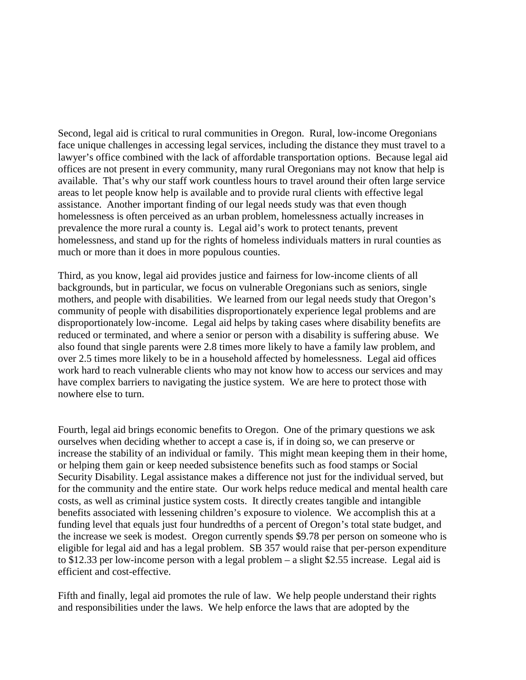Second, legal aid is critical to rural communities in Oregon. Rural, low-income Oregonians face unique challenges in accessing legal services, including the distance they must travel to a lawyer's office combined with the lack of affordable transportation options. Because legal aid offices are not present in every community, many rural Oregonians may not know that help is available. That's why our staff work countless hours to travel around their often large service areas to let people know help is available and to provide rural clients with effective legal assistance. Another important finding of our legal needs study was that even though homelessness is often perceived as an urban problem, homelessness actually increases in prevalence the more rural a county is. Legal aid's work to protect tenants, prevent homelessness, and stand up for the rights of homeless individuals matters in rural counties as much or more than it does in more populous counties.

Third, as you know, legal aid provides justice and fairness for low-income clients of all backgrounds, but in particular, we focus on vulnerable Oregonians such as seniors, single mothers, and people with disabilities. We learned from our legal needs study that Oregon's community of people with disabilities disproportionately experience legal problems and are disproportionately low-income. Legal aid helps by taking cases where disability benefits are reduced or terminated, and where a senior or person with a disability is suffering abuse. We also found that single parents were 2.8 times more likely to have a family law problem, and over 2.5 times more likely to be in a household affected by homelessness. Legal aid offices work hard to reach vulnerable clients who may not know how to access our services and may have complex barriers to navigating the justice system. We are here to protect those with nowhere else to turn.

Fourth, legal aid brings economic benefits to Oregon. One of the primary questions we ask ourselves when deciding whether to accept a case is, if in doing so, we can preserve or increase the stability of an individual or family. This might mean keeping them in their home, or helping them gain or keep needed subsistence benefits such as food stamps or Social Security Disability. Legal assistance makes a difference not just for the individual served, but for the community and the entire state. Our work helps reduce medical and mental health care costs, as well as criminal justice system costs. It directly creates tangible and intangible benefits associated with lessening children's exposure to violence. We accomplish this at a funding level that equals just four hundredths of a percent of Oregon's total state budget, and the increase we seek is modest. Oregon currently spends \$9.78 per person on someone who is eligible for legal aid and has a legal problem. SB 357 would raise that per-person expenditure to \$12.33 per low-income person with a legal problem – a slight \$2.55 increase. Legal aid is efficient and cost-effective.

Fifth and finally, legal aid promotes the rule of law. We help people understand their rights and responsibilities under the laws. We help enforce the laws that are adopted by the